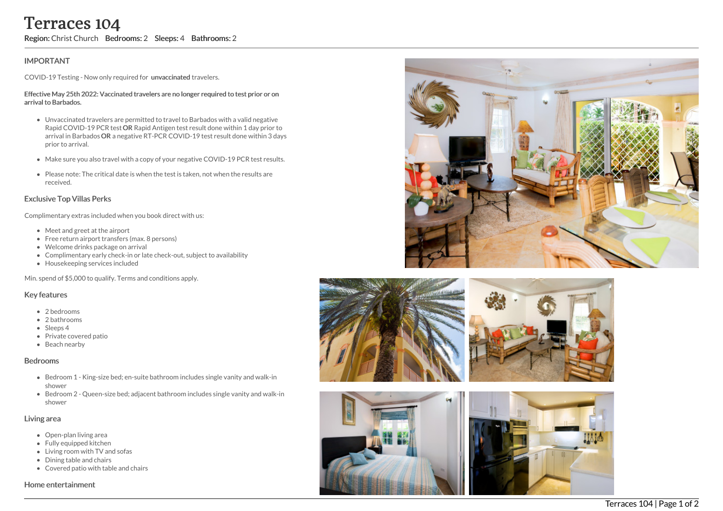# **IMPORTANT**

COVID-19 Testing - Now only required for unvaccinated travelers.

#### Effective May 25th 2022: Vaccinated travelers are no longer required to test prior or on arrival to Barbados.

- Unvaccinated travelers are permitted to travel to Barbados with a valid negative Rapid COVID-19 PCR test OR Rapid Antigen test result done within 1 day prior to arrival in Barbados OR a negative RT-PCR COVID-19 test result done within 3 days prior to arrival. **Terraces 104**<br> **Region:** Christ Church Bedrooms: 2 Sleeps: 4 Bathrooms: 2<br>
IMPORTANT<br>
COVID-19 Testing - Now only required for unvaccinated travelers.<br>
Effective May 25th 2022: Vaccinated travelers are no longer required
	- Make sure you also travel with a copy of your negative COVID-19 PCR test results.
	- Please note: The critical date is when the test is taken, not when the results are received.

## Exclusive Top Villas Perks

Complimentary extras included when you book direct with us:

- Meet and greet at the airport
- Free return airport transfers (max. 8 persons)
- Welcome drinks package on arrival
- Complimentary early check-in or late check-out, subject to availability
- Housekeeping services included

Min. spend of \$5,000 to qualify. Terms and conditions apply.

### Key features

- 2 bedrooms
- 2 bathrooms
- Sleeps 4
- Private covered patio
- Beach nearby

#### Bedrooms

- Bedroom 1 King-size bed; en-suite bathroom includes single vanity and walk-in shower
- Bedroom 2 Queen-size bed; adjacent bathroom includes single vanity and walk-in shower

### Living area

- Open-plan living area
- Fully equipped kitchen
- Living room with TV and sofas
- Dining table and chairs
- Covered patio with table and chairs